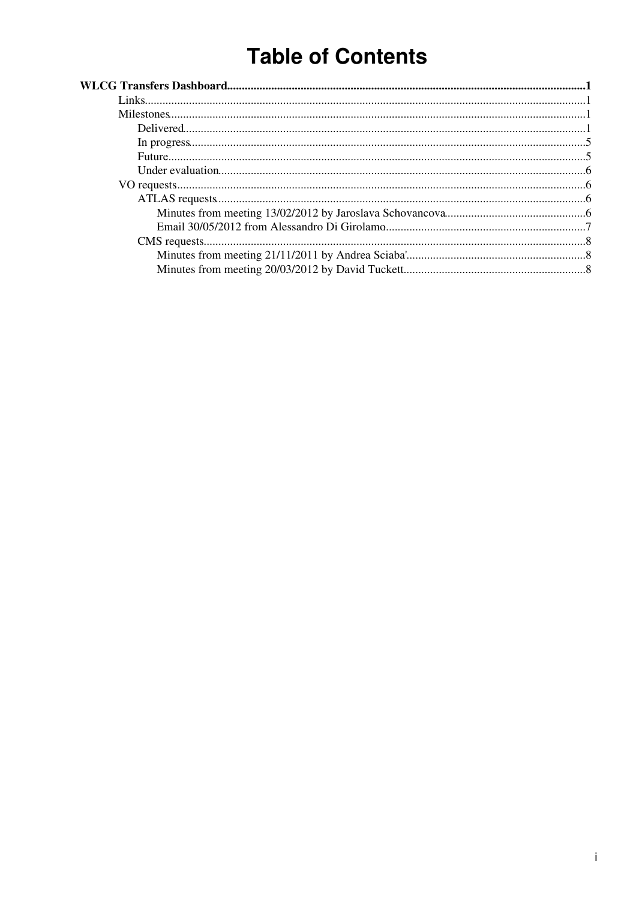# **Table of Contents**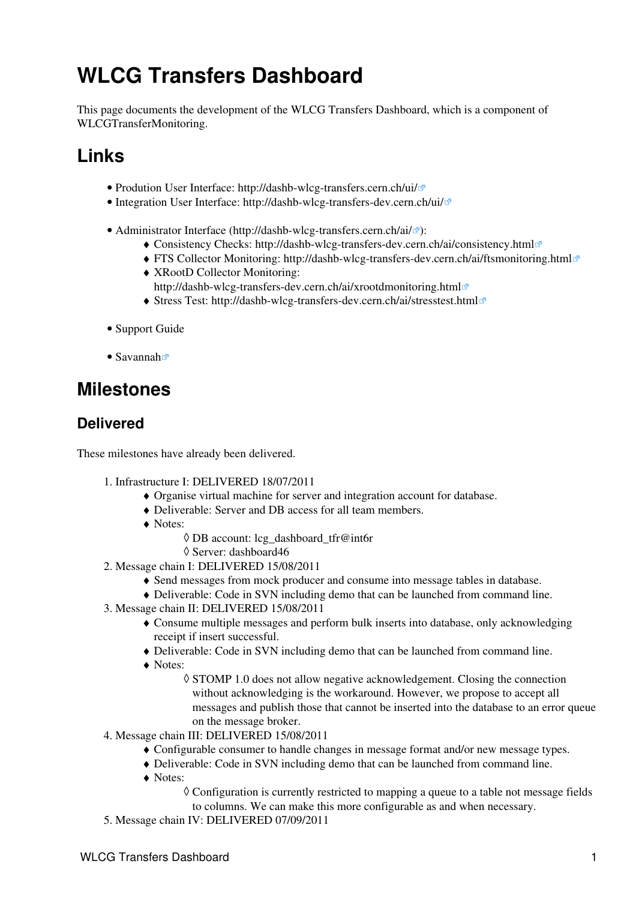# <span id="page-1-0"></span>**WLCG Transfers Dashboard**

This page documents the development of the WLCG Transfers Dashboard, which is a component of [WLCGTransferMonitoring.](https://twiki.cern.ch/twiki/bin/view/LCG/WLCGTransferMonitoring)

## <span id="page-1-1"></span>**Links**

- Prodution User Interface: <http://dashb-wlcg-transfers.cern.ch/ui/>
- Integration User Interface:<http://dashb-wlcg-transfers-dev.cern.ch/ui/>
- Administrator Interface (<http://dashb-wlcg-transfers.cern.ch/ai/><sup></sup>
	- ♦ Consistency Checks: <http://dashb-wlcg-transfers-dev.cern.ch/ai/consistency.html>
	- ♦ FTS Collector Monitoring:<http://dashb-wlcg-transfers-dev.cern.ch/ai/ftsmonitoring.html>
	- [XRootD](https://twiki.cern.ch/twiki/bin/edit/LCG/XRootD?topicparent=LCG.WLCGTransfersDashboard;nowysiwyg=1) Collector Monitoring: ♦ <http://dashb-wlcg-transfers-dev.cern.ch/ai/xrootdmonitoring.html>
	- ♦ Stress Test: <http://dashb-wlcg-transfers-dev.cern.ch/ai/stresstest.html>
- [Support Guide](https://twiki.cern.ch/twiki/bin/view/ArdaGrid/SupportWLCGTransferDashboard)
- [Savannah](https://savannah.cern.ch/bugs/index.php?go_report=Apply&group=dashboard&func=browse&set=custom&msort=0&report_id=101&advsrch=0&assigned_to=0&severity=0&resolution_id=0&category_id=131&priority=0&status_id=0&chunksz=50&spamscore=5&boxoptionwanted=1)<sup>®</sup>

## <span id="page-1-2"></span>**Milestones**

### <span id="page-1-3"></span>**Delivered**

These milestones have already been delivered.

- 1. Infrastructure I: DELIVERED 18/07/2011
	- ♦ Organise virtual machine for server and integration account for database.
	- ♦ Deliverable: Server and DB access for all team members.
	- Notes: ♦
		- ◊ DB account: [lcg\\_dashboard\\_tfr@int6r](mailto:lcg_dashboard_tfr@int6r)
		- ◊ Server: dashboard46
- 2. Message chain I: DELIVERED 15/08/2011
	- ♦ Send messages from mock producer and consume into message tables in database.
	- ♦ Deliverable: Code in SVN including demo that can be launched from command line.
- Message chain II: DELIVERED 15/08/2011 3.
	- Consume multiple messages and perform bulk inserts into database, only acknowledging ♦ receipt if insert successful.
	- ♦ Deliverable: Code in SVN including demo that can be launched from command line.
	- Notes: ♦
		- ◊ STOMP 1.0 does not allow negative acknowledgement. Closing the connection without acknowledging is the workaround. However, we propose to accept all messages and publish those that cannot be inserted into the database to an error queue on the message broker.
- Message chain III: DELIVERED 15/08/2011 4.
	- ♦ Configurable consumer to handle changes in message format and/or new message types.
	- ♦ Deliverable: Code in SVN including demo that can be launched from command line.
	- Notes: ♦
		- Configuration is currently restricted to mapping a queue to a table not message fields ◊
		- to columns. We can make this more configurable as and when necessary.
- 5. Message chain IV: DELIVERED 07/09/2011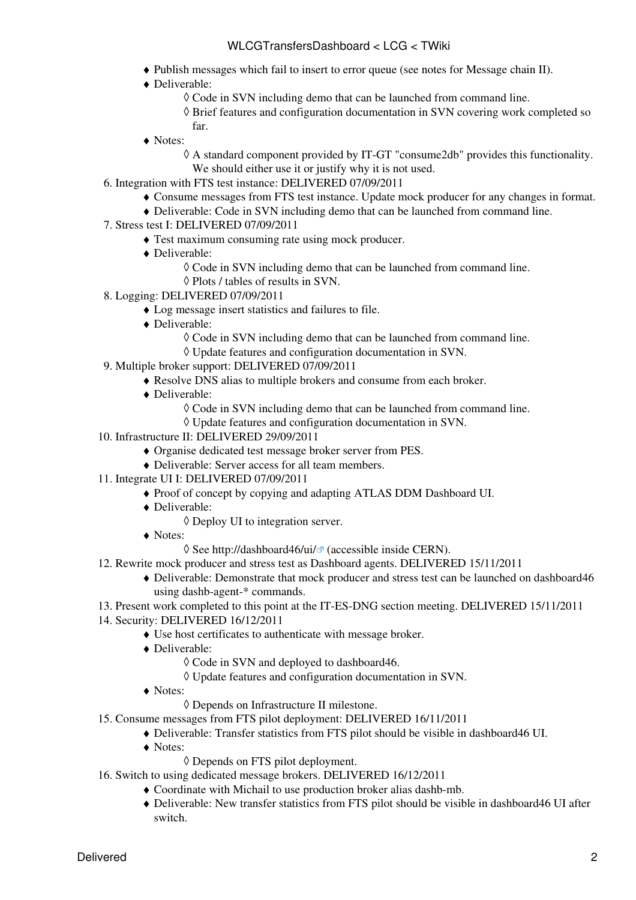- ♦ Publish messages which fail to insert to error queue (see notes for Message chain II).
- Deliverable: ♦
	- ◊ Code in SVN including demo that can be launched from command line.
	- Brief features and configuration documentation in SVN covering work completed so ◊ far.
- Notes: ♦
	- A standard component provided by IT-GT "consume2db" provides this functionality. ◊ We should either use it or justify why it is not used.
- 6. Integration with FTS test instance: DELIVERED 07/09/2011
	- ♦ Consume messages from FTS test instance. Update mock producer for any changes in format.
	- ♦ Deliverable: Code in SVN including demo that can be launched from command line.
- Stress test I: DELIVERED 07/09/2011 7.
	- ♦ Test maximum consuming rate using mock producer.
	- Deliverable: ♦
		- ◊ Code in SVN including demo that can be launched from command line.
		- ◊ Plots / tables of results in SVN.
- Logging: DELIVERED 07/09/2011 8.
	- ♦ Log message insert statistics and failures to file.
	- Deliverable: ♦
		- ◊ Code in SVN including demo that can be launched from command line.
		- ◊ Update features and configuration documentation in SVN.
- Multiple broker support: DELIVERED 07/09/2011 9.
	- ♦ Resolve DNS alias to multiple brokers and consume from each broker.
	- Deliverable: ♦
		- ◊ Code in SVN including demo that can be launched from command line.
			- ◊ Update features and configuration documentation in SVN.
- 10. Infrastructure II: DELIVERED 29/09/2011
	- ♦ Organise dedicated test message broker server from PES.
	- ♦ Deliverable: Server access for all team members.
- 11. Integrate UI I: DELIVERED 07/09/2011
	- ♦ Proof of concept by copying and adapting ATLAS DDM Dashboard UI.
	- Deliverable: ♦
		- ◊ Deploy UI to integration server.
	- Notes: ♦
		- $\Diamond$  See [http://dashboard46/ui/](http://dashboard46/ui/#interval=40320) $\circ$  (accessible inside CERN).
- 12. Rewrite mock producer and stress test as Dashboard agents. DELIVERED 15/11/2011
	- Deliverable: Demonstrate that mock producer and stress test can be launched on dashboard46 ♦ using dashb-agent-\* commands.
- 13. Present work completed to this point at the IT-ES-DNG section meeting. DELIVERED 15/11/2011
- 14. Security: DELIVERED 16/12/2011
	- ♦ Use host certificates to authenticate with message broker.
	- Deliverable: ♦
		- ◊ Code in SVN and deployed to dashboard46.
		- ◊ Update features and configuration documentation in SVN.
	- Notes: ♦
		- ◊ Depends on Infrastructure II milestone.
- 15. Consume messages from FTS pilot deployment: DELIVERED 16/11/2011
	- ♦ Deliverable: Transfer statistics from FTS pilot should be visible in dashboard46 UI.
	- Notes: ♦
		- ◊ Depends on FTS pilot deployment.
- 16. Switch to using dedicated message brokers. DELIVERED 16/12/2011
	- ♦ Coordinate with Michail to use production broker alias dashb-mb.
	- Deliverable: New transfer statistics from FTS pilot should be visible in dashboard46 UI after ♦ switch.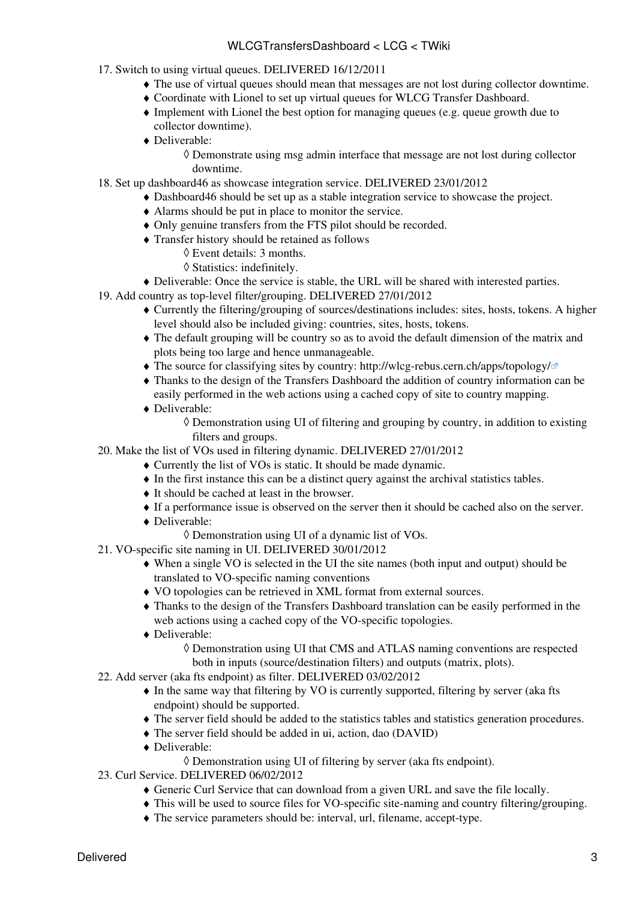#### WLCGTransfersDashboard < LCG < TWiki

- 17. Switch to using virtual queues. DELIVERED 16/12/2011
	- ♦ The use of virtual queues should mean that messages are not lost during collector downtime.
	- ♦ Coordinate with Lionel to set up virtual queues for WLCG Transfer Dashboard.
	- Implement with Lionel the best option for managing queues (e.g. queue growth due to ♦ collector downtime).
	- Deliverable: ♦
		- Demonstrate using msg admin interface that message are not lost during collector ◊ downtime.
- 18. Set up dashboard46 as showcase integration service. DELIVERED 23/01/2012
	- ♦ Dashboard46 should be set up as a stable integration service to showcase the project.
	- ♦ Alarms should be put in place to monitor the service.
	- ♦ Only genuine transfers from the FTS pilot should be recorded.
	- Transfer history should be retained as follows ♦
		- ◊ Event details: 3 months.
		- ◊ Statistics: indefinitely.
- ♦ Deliverable: Once the service is stable, the URL will be shared with interested parties.
- Add country as top-level filter/grouping. DELIVERED 27/01/2012 19.
	- Currently the filtering/grouping of sources/destinations includes: sites, hosts, tokens. A higher ♦ level should also be included giving: countries, sites, hosts, tokens.
	- The default grouping will be country so as to avoid the default dimension of the matrix and ♦ plots being too large and hence unmanageable.
	- $\blacklozenge$  The source for classifying sites by country: <http://wlcg-rebus.cern.ch/apps/topology/> $\blacktriangledown$
	- Thanks to the design of the Transfers Dashboard the addition of country information can be ♦ easily performed in the web actions using a cached copy of site to country mapping.
	- Deliverable: ♦
		- Demonstration using UI of filtering and grouping by country, in addition to existing ◊ filters and groups.
- 20. Make the list of VOs used in filtering dynamic. DELIVERED 27/01/2012
	- ♦ Currently the list of VOs is static. It should be made dynamic.
	- ♦ In the first instance this can be a distinct query against the archival statistics tables.
	- ♦ It should be cached at least in the browser.
	- ♦ If a performance issue is observed on the server then it should be cached also on the server.
	- Deliverable: ♦
		- ◊ Demonstration using UI of a dynamic list of VOs.
- 21. VO-specific site naming in UI. DELIVERED 30/01/2012
	- When a single VO is selected in the UI the site names (both input and output) should be ♦ translated to VO-specific naming conventions
	- ♦ VO topologies can be retrieved in XML format from external sources.
	- Thanks to the design of the Transfers Dashboard translation can be easily performed in the ♦ web actions using a cached copy of the VO-specific topologies.
	- Deliverable: ♦
		- Demonstration using UI that CMS and ATLAS naming conventions are respected ◊ both in inputs (source/destination filters) and outputs (matrix, plots).
- 22. Add server (aka fts endpoint) as filter. DELIVERED 03/02/2012
	- In the same way that filtering by VO is currently supported, filtering by server (aka fts ♦ endpoint) should be supported.
	- ♦ The server field should be added to the statistics tables and statistics generation procedures.
	- ♦ The server field should be added in ui, action, dao (DAVID)
	- Deliverable: ♦
		- ◊ Demonstration using UI of filtering by server (aka fts endpoint).
- 23. Curl Service. DELIVERED 06/02/2012
	- ♦ Generic Curl Service that can download from a given URL and save the file locally.
	- ♦ This will be used to source files for VO-specific site-naming and country filtering/grouping.
	- ♦ The service parameters should be: interval, url, filename, accept-type.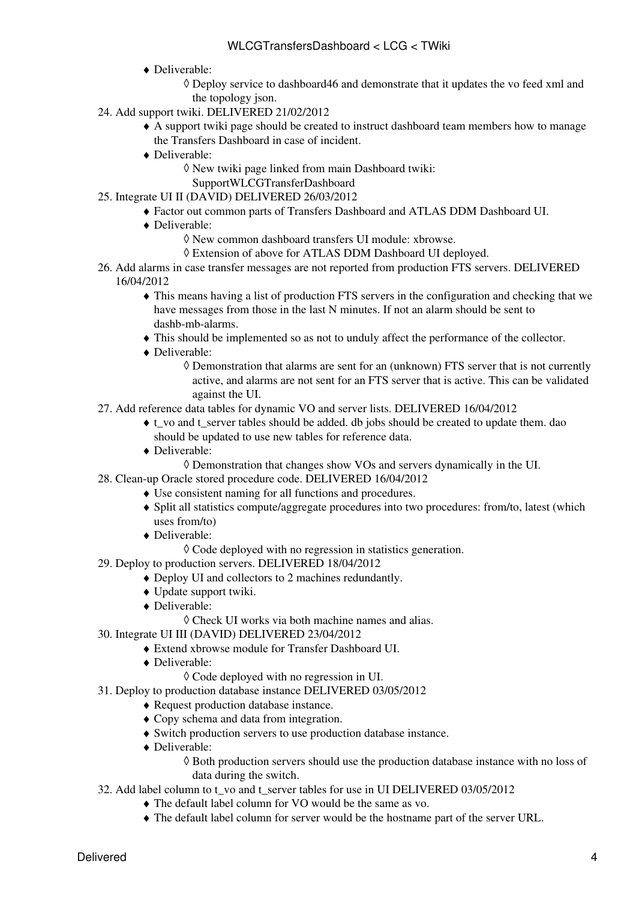- Deliverable: ♦
	- Deploy service to dashboard46 and demonstrate that it updates the vo feed xml and ◊ the topology json.
- 24. Add support twiki. DELIVERED 21/02/2012
	- A support twiki page should be created to instruct dashboard team members how to manage ♦ the Transfers Dashboard in case of incident.
	- Deliverable: ♦
		- New twiki page linked from main Dashboard twiki: ◊
		- [SupportWLCGTransferDashboard](https://twiki.cern.ch/twiki/bin/view/ArdaGrid/SupportWLCGTransferDashboard)
- 25. Integrate UI II (DAVID) DELIVERED 26/03/2012
	- ♦ Factor out common parts of Transfers Dashboard and ATLAS DDM Dashboard UI.
	- Deliverable: ♦
		- ◊ New common dashboard transfers UI module: xbrowse.
		- ◊ Extension of above for ATLAS DDM Dashboard UI deployed.
- 26. Add alarms in case transfer messages are not reported from production FTS servers. DELIVERED 16/04/2012
	- This means having a list of production FTS servers in the configuration and checking that we ♦ have messages from those in the last N minutes. If not an alarm should be sent to dashb-mb-alarms.
	- ♦ This should be implemented so as not to unduly affect the performance of the collector.
	- Deliverable: ♦
		- Demonstration that alarms are sent for an (unknown) FTS server that is not currently ◊ active, and alarms are not sent for an FTS server that is active. This can be validated against the UI.
- 27. Add reference data tables for dynamic VO and server lists. DELIVERED 16/04/2012
	- t\_vo and t\_server tables should be added. db jobs should be created to update them. dao ♦ should be updated to use new tables for reference data.
	- Deliverable: ♦
		- ◊ Demonstration that changes show VOs and servers dynamically in the UI.
- Clean-up Oracle stored procedure code. DELIVERED 16/04/2012 28.
	- ♦ Use consistent naming for all functions and procedures.
	- Split all statistics compute/aggregate procedures into two procedures: from/to, latest (which ♦ uses from/to)
	- Deliverable: ♦
		- ◊ Code deployed with no regression in statistics generation.
- 29. Deploy to production servers. DELIVERED 18/04/2012
	- ♦ Deploy UI and collectors to 2 machines redundantly.
	- ♦ Update support twiki.
	- Deliverable: ♦
		- ◊ Check UI works via both machine names and alias.
- Integrate UI III (DAVID) DELIVERED 23/04/2012 30.
	- ♦ Extend xbrowse module for Transfer Dashboard UI.
		- Deliverable: ♦
			- ◊ Code deployed with no regression in UI.
- 31. Deploy to production database instance DELIVERED 03/05/2012
	- ♦ Request production database instance.
	- ♦ Copy schema and data from integration.
	- ♦ Switch production servers to use production database instance.
	- Deliverable: ♦
		- Both production servers should use the production database instance with no loss of ◊ data during the switch.
- Add label column to t\_vo and t\_server tables for use in UI DELIVERED 03/05/2012 32.
	- ♦ The default label column for VO would be the same as vo.
	- ♦ The default label column for server would be the hostname part of the server URL.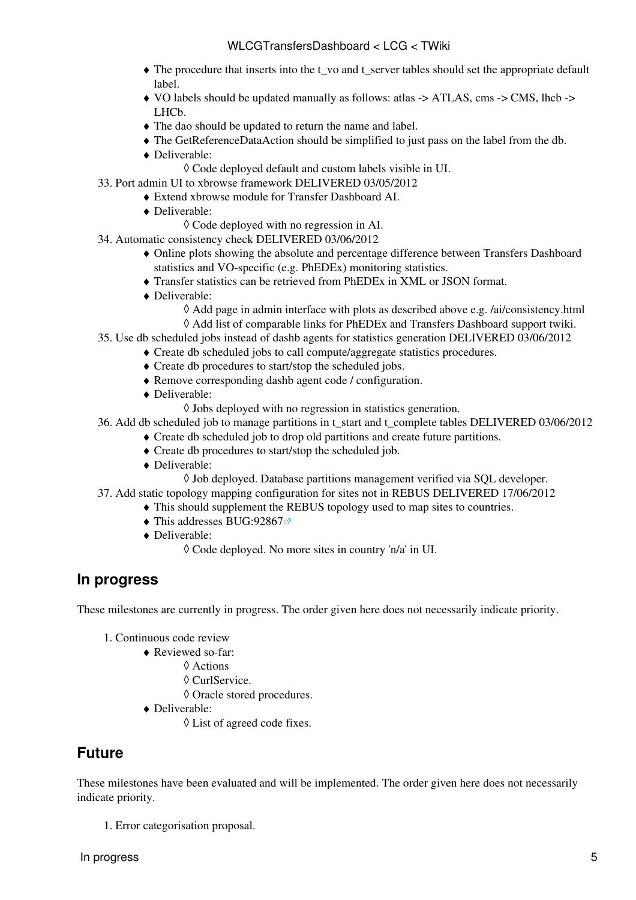- The procedure that inserts into the t\_vo and t\_server tables should set the appropriate default ♦ label.
- VO labels should be updated manually as follows: atlas -> ATLAS, cms -> CMS, lhcb -> ♦ LHCb.
- ♦ The dao should be updated to return the name and label.
- ♦ The [GetReferenceDataAction](https://twiki.cern.ch/twiki/bin/edit/LCG/GetReferenceDataAction?topicparent=LCG.WLCGTransfersDashboard;nowysiwyg=1) should be simplified to just pass on the label from the db.
- Deliverable: ♦
	- ◊ Code deployed default and custom labels visible in UI.
- 33. Port admin UI to xbrowse framework DELIVERED 03/05/2012
	- ♦ Extend xbrowse module for Transfer Dashboard AI.
	- Deliverable: ♦
		- ◊ Code deployed with no regression in AI.
- Automatic consistency check DELIVERED 03/06/2012 34.
	- Online plots showing the absolute and percentage difference between Transfers Dashboard ♦ statistics and VO-specific (e.g. [PhEDEx\)](https://twiki.cern.ch/twiki/bin/view/LCG/PhEDEx) monitoring statistics.
	- ♦ Transfer statistics can be retrieved from [PhEDEx](https://twiki.cern.ch/twiki/bin/view/LCG/PhEDEx) in XML or JSON format.
	- Deliverable: ♦
		- ◊ Add page in admin interface with plots as described above e.g. /ai/consistency.html
		- ◊ Add list of comparable links for [PhEDEx](https://twiki.cern.ch/twiki/bin/view/LCG/PhEDEx) and Transfers Dashboard support twiki.
- 35. Use db scheduled jobs instead of dashb agents for statistics generation DELIVERED 03/06/2012
	- ♦ Create db scheduled jobs to call compute/aggregate statistics procedures.
		- ♦ Create db procedures to start/stop the scheduled jobs.
		- ♦ Remove corresponding dashb agent code / configuration.
		- Deliverable: ♦
			- $\Diamond$  Jobs deployed with no regression in statistics generation.
- Add db scheduled job to manage partitions in t\_start and t\_complete tables DELIVERED 03/06/2012 36.
	- ♦ Create db scheduled job to drop old partitions and create future partitions.
	- ♦ Create db procedures to start/stop the scheduled job.
	- Deliverable: ♦
		- ◊ Job deployed. Database partitions management verified via SQL developer.
- Add static topology mapping configuration for sites not in REBUS DELIVERED 17/06/2012 37.
	- ♦ This should supplement the REBUS topology used to map sites to countries.
		- $\triangle$  This addresses [BUG:92867](https://savannah.cern.ch/bugs/?92867) $\degree$
		- Deliverable: ♦
			- ◊ Code deployed. No more sites in country 'n/a' in UI.

### <span id="page-5-0"></span>**In progress**

These milestones are currently in progress. The order given here does not necessarily indicate priority.

- 1. Continuous code review
	- Reviewed so-far: ♦
		- ◊ Actions
		- ◊ [CurlService](https://twiki.cern.ch/twiki/bin/edit/LCG/CurlService?topicparent=LCG.WLCGTransfersDashboard;nowysiwyg=1).
		- ◊ Oracle stored procedures.
	- Deliverable: ♦
		- ◊ List of agreed code fixes.

### <span id="page-5-1"></span>**Future**

These milestones have been evaluated and will be implemented. The order given here does not necessarily indicate priority.

1. Error categorisation proposal.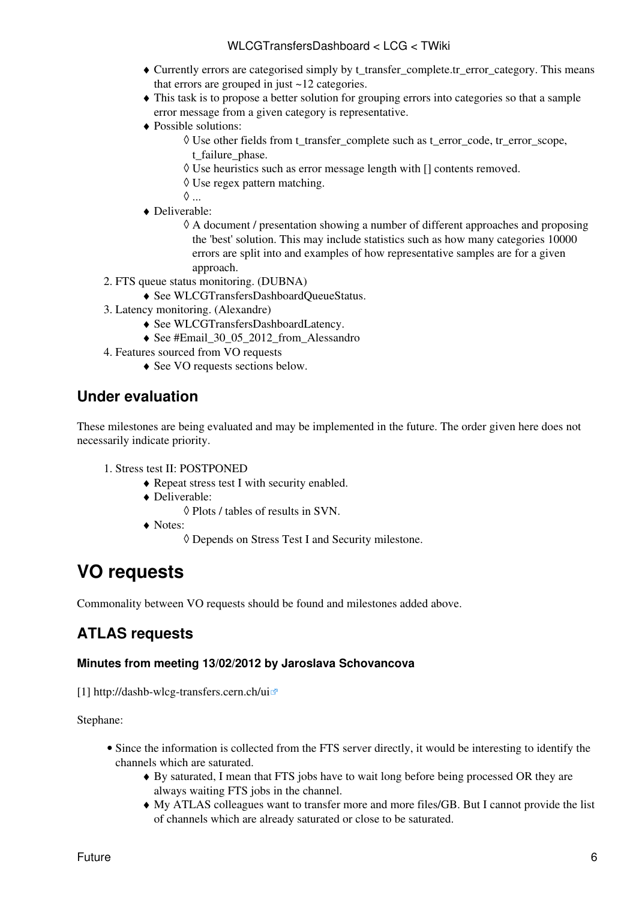- Currently errors are categorised simply by t\_transfer\_complete.tr\_error\_category. This means ♦ that errors are grouped in just ~12 categories.
- This task is to propose a better solution for grouping errors into categories so that a sample ♦ error message from a given category is representative.
- Possible solutions: ♦
	- Use other fields from t\_transfer\_complete such as t\_error\_code, tr\_error\_scope, ◊ t failure phase.
	- ◊ Use heuristics such as error message length with [] contents removed.
	- ◊ Use regex pattern matching.
	- ◊ ...
- Deliverable: ♦
	- A document / presentation showing a number of different approaches and proposing ◊ the 'best' solution. This may include statistics such as how many categories 10000 errors are split into and examples of how representative samples are for a given approach.
- FTS queue status monitoring. (DUBNA) 2.
	- ♦ See WLCGTransfersDashboardQueueStatus.
- 3. Latency monitoring. (Alexandre)
	- ♦ See WLCGTransfersDashboardLatency.
	- ♦ See #Email\_30\_05\_2012\_from\_Alessandro
- Features sourced from VO requests 4.
	- ♦ See VO requests sections below.

## <span id="page-6-0"></span>**Under evaluation**

These milestones are being evaluated and may be implemented in the future. The order given here does not necessarily indicate priority.

- 1. Stress test II: POSTPONED
	- ♦ Repeat stress test I with security enabled.
	- Deliverable: ♦
		- ◊ Plots / tables of results in SVN.
	- Notes: ♦
		- ◊ Depends on Stress Test I and Security milestone.

## <span id="page-6-1"></span>**VO requests**

Commonality between VO requests should be found and milestones added above.

## <span id="page-6-2"></span>**ATLAS requests**

### <span id="page-6-3"></span>**Minutes from meeting 13/02/2012 by Jaroslava Schovancova**

[1] <http://dashb-wlcg-transfers.cern.ch/ui>

Stephane:

- Since the information is collected from the FTS server directly, it would be interesting to identify the channels which are saturated.
	- By saturated, I mean that FTS jobs have to wait long before being processed OR they are ♦ always waiting FTS jobs in the channel.
	- My ATLAS colleagues want to transfer more and more files/GB. But I cannot provide the list ♦ of channels which are already saturated or close to be saturated.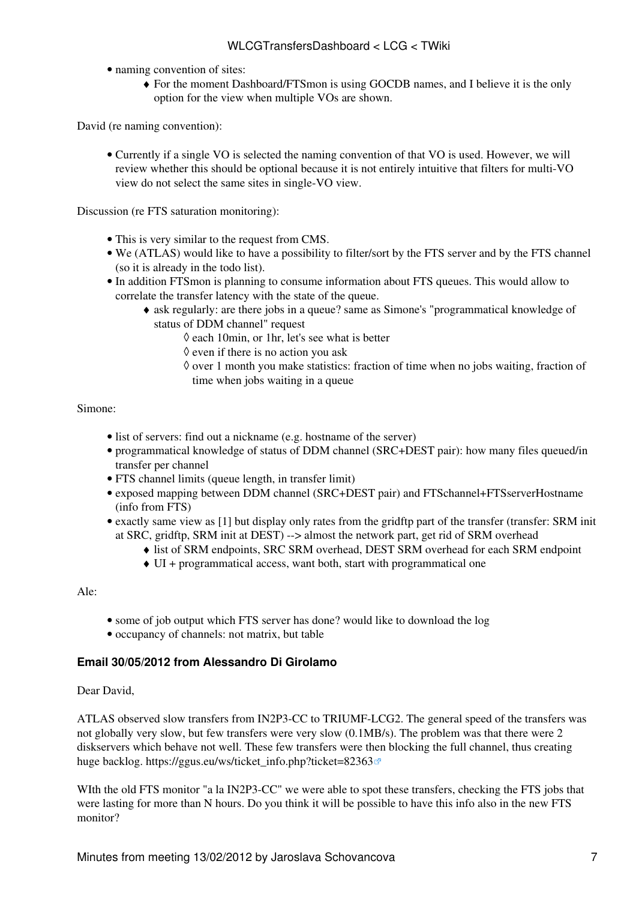- naming convention of sites:
	- For the moment Dashboard/FTSmon is using GOCDB names, and I believe it is the only ♦ option for the view when multiple VOs are shown.

David (re naming convention):

• Currently if a single VO is selected the naming convention of that VO is used. However, we will review whether this should be optional because it is not entirely intuitive that filters for multi-VO view do not select the same sites in single-VO view.

Discussion (re FTS saturation monitoring):

- This is very similar to the request from CMS.
- We (ATLAS) would like to have a possibility to filter/sort by the FTS server and by the FTS channel (so it is already in the todo list).
- In addition FTSmon is planning to consume information about FTS queues. This would allow to correlate the transfer latency with the state of the queue.
	- ask regularly: are there jobs in a queue? same as Simone's "programmatical knowledge of ♦ status of DDM channel" request
		- $\Diamond$  each 10min, or 1hr, let's see what is better
		- $\Diamond$  even if there is no action you ask
		- $\Diamond$  over 1 month you make statistics: fraction of time when no jobs waiting, fraction of time when jobs waiting in a queue

Simone:

- list of servers: find out a nickname (e.g. hostname of the server)
- programmatical knowledge of status of DDM channel (SRC+DEST pair): how many files queued/in transfer per channel
- FTS channel limits (queue length, in transfer limit)
- exposed mapping between DDM channel (SRC+DEST pair) and FTSchannel+FTSserverHostname (info from FTS)
- exactly same view as [1] but display only rates from the gridftp part of the transfer (transfer: SRM init at SRC, gridftp, SRM init at DEST) --> almost the network part, get rid of SRM overhead
	- ♦ list of SRM endpoints, SRC SRM overhead, DEST SRM overhead for each SRM endpoint
	- ♦ UI + programmatical access, want both, start with programmatical one

Ale:

- some of job output which FTS server has done? would like to download the log
- occupancy of channels: not matrix, but table

#### <span id="page-7-0"></span>**Email 30/05/2012 from Alessandro Di Girolamo**

Dear David,

ATLAS observed slow transfers from [IN2P3-](https://twiki.cern.ch/twiki/bin/view/LCG/IN2P3)CC to TRIUMF-LCG2. The general speed of the transfers was not globally very slow, but few transfers were very slow (0.1MB/s). The problem was that there were 2 diskservers which behave not well. These few transfers were then blocking the full channel, thus creating huge backlog. [https://ggus.eu/ws/ticket\\_info.php?ticket=82363](https://ggus.eu/ws/ticket_info.php?ticket=82363)

WIth the old FTS monitor "a la [IN2P3](https://twiki.cern.ch/twiki/bin/view/LCG/IN2P3)-CC" we were able to spot these transfers, checking the FTS jobs that were lasting for more than N hours. Do you think it will be possible to have this info also in the new FTS monitor?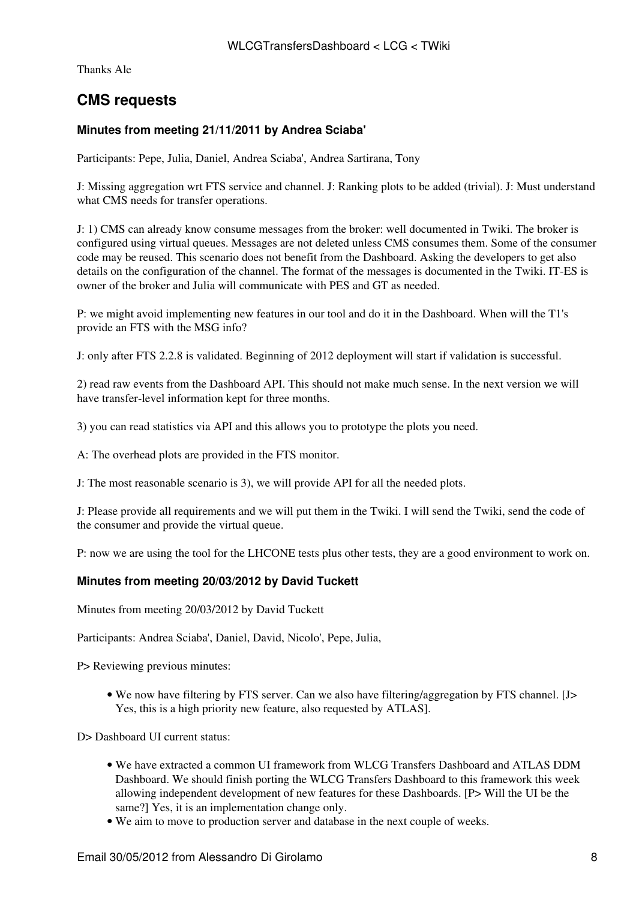Thanks Ale

## <span id="page-8-0"></span>**CMS requests**

### <span id="page-8-1"></span>**Minutes from meeting 21/11/2011 by Andrea Sciaba'**

Participants: Pepe, Julia, Daniel, Andrea Sciaba', Andrea Sartirana, Tony

J: Missing aggregation wrt FTS service and channel. J: Ranking plots to be added (trivial). J: Must understand what CMS needs for transfer operations.

J: 1) CMS can already know consume messages from the broker: well documented in Twiki. The broker is configured using virtual queues. Messages are not deleted unless CMS consumes them. Some of the consumer code may be reused. This scenario does not benefit from the Dashboard. Asking the developers to get also details on the configuration of the channel. The format of the messages is documented in the Twiki. IT-ES is owner of the broker and Julia will communicate with PES and GT as needed.

P: we might avoid implementing new features in our tool and do it in the Dashboard. When will the T1's provide an FTS with the MSG info?

J: only after FTS 2.2.8 is validated. Beginning of 2012 deployment will start if validation is successful.

2) read raw events from the Dashboard API. This should not make much sense. In the next version we will have transfer-level information kept for three months.

3) you can read statistics via API and this allows you to prototype the plots you need.

A: The overhead plots are provided in the FTS monitor.

J: The most reasonable scenario is 3), we will provide API for all the needed plots.

J: Please provide all requirements and we will put them in the Twiki. I will send the Twiki, send the code of the consumer and provide the virtual queue.

P: now we are using the tool for the LHCONE tests plus other tests, they are a good environment to work on.

#### <span id="page-8-2"></span>**Minutes from meeting 20/03/2012 by David Tuckett**

Minutes from meeting 20/03/2012 by David Tuckett

Participants: Andrea Sciaba', Daniel, David, Nicolo', Pepe, Julia,

P> Reviewing previous minutes:

• We now have filtering by FTS server. Can we also have filtering/aggregation by FTS channel. [J> Yes, this is a high priority new feature, also requested by ATLAS].

D> Dashboard III current status:

- We have extracted a common UI framework from WLCG Transfers Dashboard and ATLAS DDM Dashboard. We should finish porting the WLCG Transfers Dashboard to this framework this week allowing independent development of new features for these Dashboards. [P> Will the UI be the same?] Yes, it is an implementation change only.
- We aim to move to production server and database in the next couple of weeks.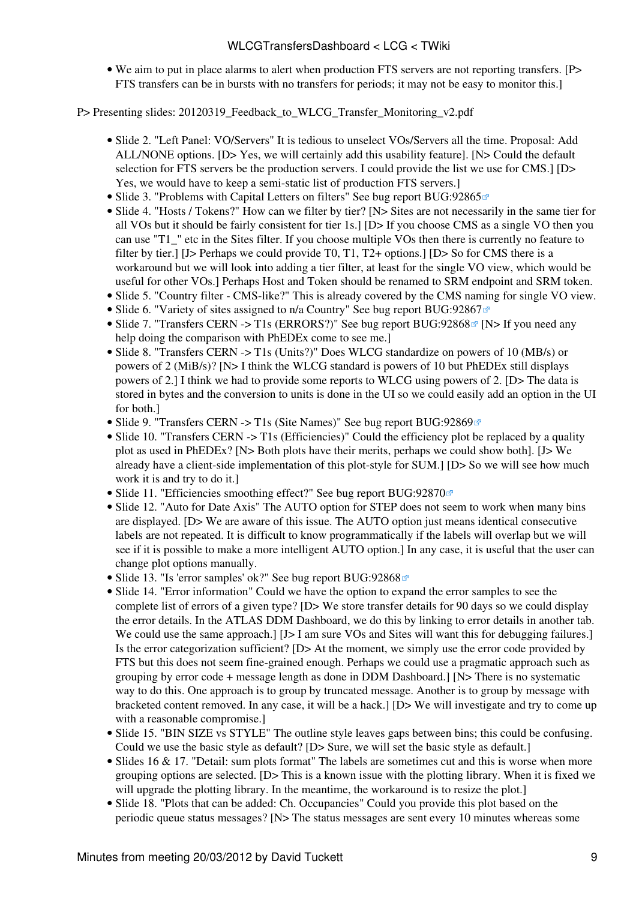### WLCGTransfersDashboard < LCG < TWiki

We aim to put in place alarms to alert when production FTS servers are not reporting transfers. [P> • FTS transfers can be in bursts with no transfers for periods; it may not be easy to monitor this.]

P> Presenting slides: 20120319 Feedback to WLCG Transfer Monitoring v2.pdf

- Slide 2. "Left Panel: VO/Servers" It is tedious to unselect VOs/Servers all the time. Proposal: Add ALL/NONE options. [D> Yes, we will certainly add this usability feature]. [N> Could the default selection for FTS servers be the production servers. I could provide the list we use for CMS.] [D> Yes, we would have to keep a semi-static list of production FTS servers.]
- Slide 3. "Problems with Capital Letters on filters" See bug report [BUG:92865](https://savannah.cern.ch/bugs/?92865)<sup>®</sup>
- Slide 4. "Hosts / Tokens?" How can we filter by tier? [N> Sites are not necessarily in the same tier for all VOs but it should be fairly consistent for tier 1s.] [D> If you choose CMS as a single VO then you can use "T1\_" etc in the Sites filter. If you choose multiple VOs then there is currently no feature to filter by tier.] [J> Perhaps we could provide T0, T1, T2+ options.] [D> So for CMS there is a workaround but we will look into adding a tier filter, at least for the single VO view, which would be useful for other VOs.] Perhaps Host and Token should be renamed to SRM endpoint and SRM token.
- Slide 5. "Country filter CMS-like?" This is already covered by the CMS naming for single VO view.
- Slide 6. "Variety of sites assigned to n/a Country" See bug report [BUG:92867](https://savannah.cern.ch/bugs/?92867)<sup>®</sup>
- Slide 7. "Transfers CERN -> T1s (ERRORS?)" See bug report [BUG:92868](https://savannah.cern.ch/bugs/?92868)<sup>®</sup> [N> If you need any help doing the comparison with [PhEDEx](https://twiki.cern.ch/twiki/bin/view/LCG/PhEDEx) come to see me.
- Slide 8. "Transfers CERN -> T1s (Units?)" Does WLCG standardize on powers of 10 (MB/s) or powers of 2 [\(MiB](https://twiki.cern.ch/twiki/bin/edit/LCG/MiB?topicparent=LCG.WLCGTransfersDashboard;nowysiwyg=1)/s)? [N> I think the WLCG standard is powers of 10 but [PhEDEx](https://twiki.cern.ch/twiki/bin/view/LCG/PhEDEx) still displays powers of 2.] I think we had to provide some reports to WLCG using powers of 2. [D> The data is stored in bytes and the conversion to units is done in the UI so we could easily add an option in the UI for both.]
- Slide 9. "Transfers CERN -> T1s (Site Names)" See bug report [BUG:92869](https://savannah.cern.ch/bugs/?92869)<sup>®</sup>
- Slide 10. "Transfers CERN -> T1s (Efficiencies)" Could the efficiency plot be replaced by a quality plot as used in [PhEDEx](https://twiki.cern.ch/twiki/bin/view/LCG/PhEDEx)? [N> Both plots have their merits, perhaps we could show both]. [J> We already have a client-side implementation of this plot-style for SUM.] [D> So we will see how much work it is and try to do it.]
- Slide 11. "Efficiencies smoothing effect?" See bug report [BUG:92870](https://savannah.cern.ch/bugs/?92870)
- Slide 12. "Auto for Date Axis" The AUTO option for STEP does not seem to work when many bins are displayed. [D> We are aware of this issue. The AUTO option just means identical consecutive labels are not repeated. It is difficult to know programmatically if the labels will overlap but we will see if it is possible to make a more intelligent AUTO option.] In any case, it is useful that the user can change plot options manually.
- Slide 13. "Is 'error samples' ok?" See bug report [BUG:92868](https://savannah.cern.ch/bugs/?92868)<sup>®</sup>
- Slide 14. "Error information" Could we have the option to expand the error samples to see the complete list of errors of a given type? [D> We store transfer details for 90 days so we could display the error details. In the ATLAS DDM Dashboard, we do this by linking to error details in another tab. We could use the same approach.] [J> I am sure VOs and Sites will want this for debugging failures.] Is the error categorization sufficient? [D> At the moment, we simply use the error code provided by FTS but this does not seem fine-grained enough. Perhaps we could use a pragmatic approach such as grouping by error code + message length as done in DDM Dashboard.] [N> There is no systematic way to do this. One approach is to group by truncated message. Another is to group by message with bracketed content removed. In any case, it will be a hack.] [D> We will investigate and try to come up with a reasonable compromise.]
- Slide 15. "BIN SIZE vs STYLE" The outline style leaves gaps between bins; this could be confusing. Could we use the basic style as default? [D> Sure, we will set the basic style as default.]
- Slides 16 & 17. "Detail: sum plots format" The labels are sometimes cut and this is worse when more grouping options are selected. [D> This is a known issue with the plotting library. When it is fixed we will upgrade the plotting library. In the meantime, the workaround is to resize the plot.
- Slide 18. "Plots that can be added: Ch. Occupancies" Could you provide this plot based on the periodic queue status messages? [N> The status messages are sent every 10 minutes whereas some